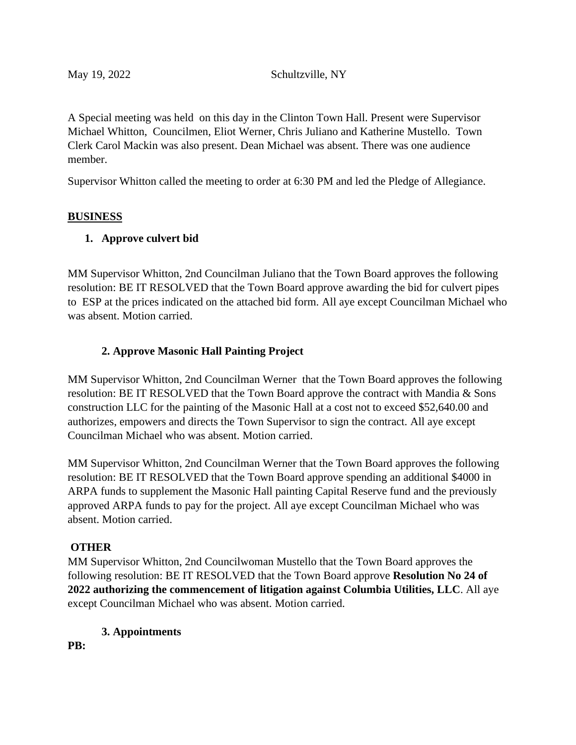A Special meeting was held on this day in the Clinton Town Hall. Present were Supervisor Michael Whitton, Councilmen, Eliot Werner, Chris Juliano and Katherine Mustello. Town Clerk Carol Mackin was also present. Dean Michael was absent. There was one audience member.

Supervisor Whitton called the meeting to order at 6:30 PM and led the Pledge of Allegiance.

#### **BUSINESS**

### **1. Approve culvert bid**

MM Supervisor Whitton, 2nd Councilman Juliano that the Town Board approves the following resolution: BE IT RESOLVED that the Town Board approve awarding the bid for culvert pipes to ESP at the prices indicated on the attached bid form. All aye except Councilman Michael who was absent. Motion carried.

## **2. Approve Masonic Hall Painting Project**

MM Supervisor Whitton, 2nd Councilman Werner that the Town Board approves the following resolution: BE IT RESOLVED that the Town Board approve the contract with Mandia & Sons construction LLC for the painting of the Masonic Hall at a cost not to exceed \$52,640.00 and authorizes, empowers and directs the Town Supervisor to sign the contract. All aye except Councilman Michael who was absent. Motion carried.

MM Supervisor Whitton, 2nd Councilman Werner that the Town Board approves the following resolution: BE IT RESOLVED that the Town Board approve spending an additional \$4000 in ARPA funds to supplement the Masonic Hall painting Capital Reserve fund and the previously approved ARPA funds to pay for the project. All aye except Councilman Michael who was absent. Motion carried.

### **OTHER**

MM Supervisor Whitton, 2nd Councilwoman Mustello that the Town Board approves the following resolution: BE IT RESOLVED that the Town Board approve **Resolution No 24 of 2022 authorizing the commencement of litigation against Columbia Utilities, LLC**. All aye except Councilman Michael who was absent. Motion carried.

### **3. Appointments**

**PB:**